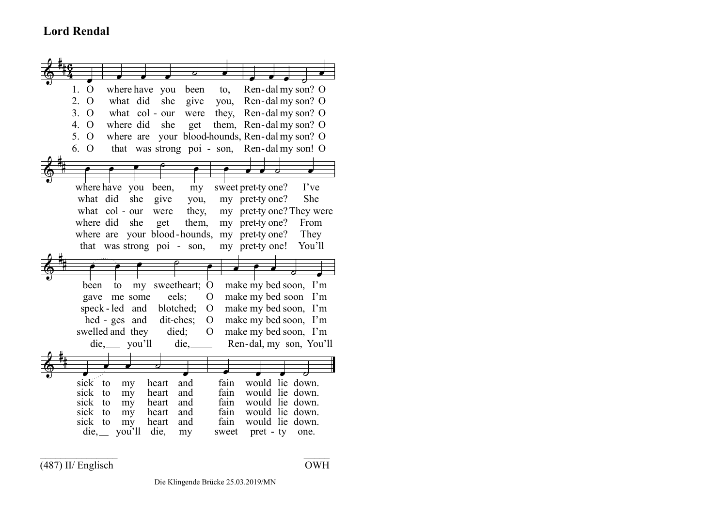## **Lord Rendal**



 $\overline{(487)}$  II/ Englisch  $\overline{OWH}$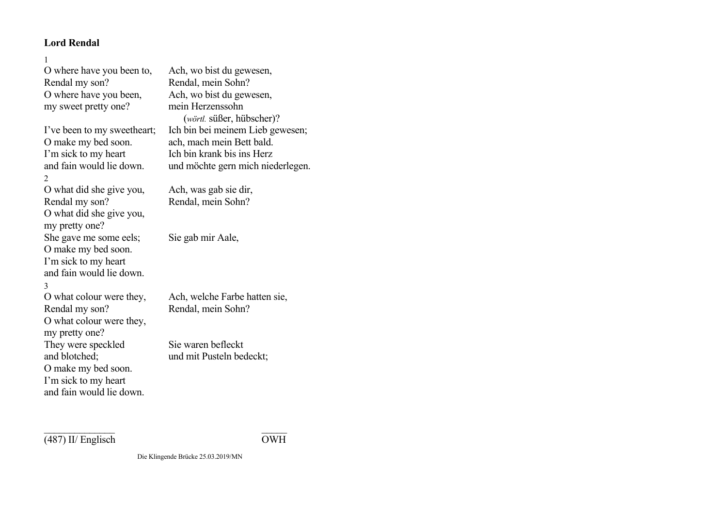## **Lord Rendal**

| O where have you been to,                  | Ach, wo bist du gewesen,                      |
|--------------------------------------------|-----------------------------------------------|
| Rendal my son?                             | Rendal, mein Sohn?                            |
| O where have you been,                     | Ach, wo bist du gewesen,                      |
| my sweet pretty one?                       | mein Herzenssohn<br>(wörtl. süßer, hübscher)? |
| I've been to my sweetheart;                | Ich bin bei meinem Lieb gewesen;              |
| O make my bed soon.                        | ach, mach mein Bett bald.                     |
| I'm sick to my heart                       | Ich bin krank bis ins Herz                    |
| and fain would lie down.                   | und möchte gern mich niederlegen.             |
| 2                                          |                                               |
| O what did she give you,                   | Ach, was gab sie dir,                         |
| Rendal my son?                             | Rendal, mein Sohn?                            |
| O what did she give you,<br>my pretty one? |                                               |
| She gave me some eels;                     | Sie gab mir Aale,                             |
| O make my bed soon.                        |                                               |
| I'm sick to my heart                       |                                               |
| and fain would lie down.                   |                                               |
| 3                                          |                                               |
| O what colour were they,                   | Ach, welche Farbe hatten sie,                 |
| Rendal my son?                             | Rendal, mein Sohn?                            |
| O what colour were they,                   |                                               |
| my pretty one?                             |                                               |
| They were speckled                         | Sie waren befleckt                            |
| and blotched;                              | und mit Pusteln bedeckt;                      |
| O make my bed soon.                        |                                               |
| I'm sick to my heart                       |                                               |
| and fain would lie down.                   |                                               |

 $\sqrt{(487) \text{ II/ English}}$ 

 $\mathcal{L}=\{1,2,3,4,5\}$  , we can also assume that  $\mathcal{L}=\{1,3,4,5\}$